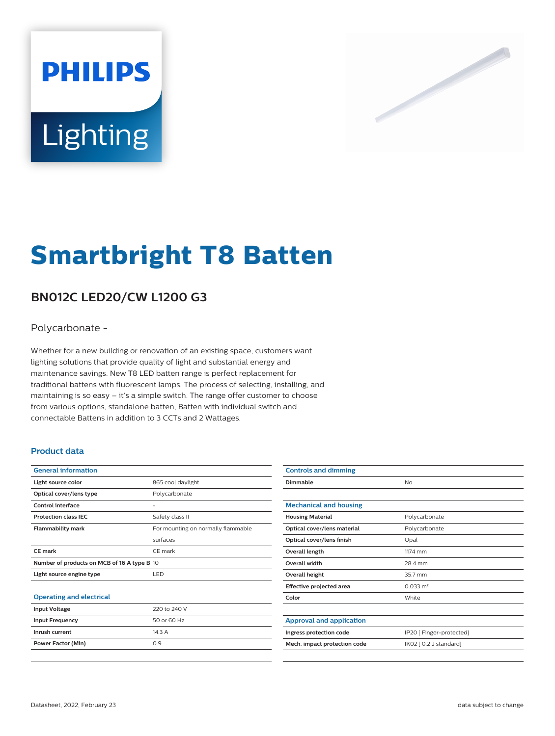# **PHILIPS** Lighting



# **Smartbright T8 Batten**

# **BN012C LED20/CW L1200 G3**

# Polycarbonate -

Whether for a new building or renovation of an existing space, customers want lighting solutions that provide quality of light and substantial energy and maintenance savings. New T8 LED batten range is perfect replacement for traditional battens with fluorescent lamps. The process of selecting, installing, and maintaining is so easy – it's a simple switch. The range offer customer to choose from various options, standalone batten, Batten with individual switch and connectable Battens in addition to 3 CCTs and 2 Wattages.

## **Product data**

| <b>General information</b>                  |                                    |  |
|---------------------------------------------|------------------------------------|--|
| Light source color                          | 865 cool daylight                  |  |
| Optical cover/lens type                     | Polycarbonate                      |  |
| <b>Control interface</b>                    |                                    |  |
| <b>Protection class IFC</b>                 | Safety class II                    |  |
| <b>Flammability mark</b>                    | For mounting on normally flammable |  |
|                                             | surfaces                           |  |
| <b>CE mark</b>                              | CE mark                            |  |
| Number of products on MCB of 16 A type B 10 |                                    |  |
| Light source engine type                    | LED                                |  |
|                                             |                                    |  |
| <b>Operating and electrical</b>             |                                    |  |
| <b>Input Voltage</b>                        | 220 to 240 V                       |  |
| <b>Input Frequency</b>                      | 50 or 60 Hz                        |  |
| Inrush current                              | 14.3A                              |  |
| Power Factor (Min)                          | 0.9                                |  |
|                                             |                                    |  |

| <b>Controls and dimming</b>     |                          |
|---------------------------------|--------------------------|
| Dimmable                        | No                       |
|                                 |                          |
| <b>Mechanical and housing</b>   |                          |
| <b>Housing Material</b>         | Polycarbonate            |
| Optical cover/lens material     | Polycarbonate            |
| Optical cover/lens finish       | Opal                     |
| Overall length                  | 1174 mm                  |
| <b>Overall width</b>            | 28.4 mm                  |
| <b>Overall height</b>           | 35.7 mm                  |
| Effective projected area        | $0.033 \text{ m}^2$      |
| Color                           | White                    |
|                                 |                          |
| <b>Approval and application</b> |                          |
| Ingress protection code         | IP20 [ Finger-protected] |
| Mech. impact protection code    | IK02 [ 0.2 J standard]   |
|                                 |                          |